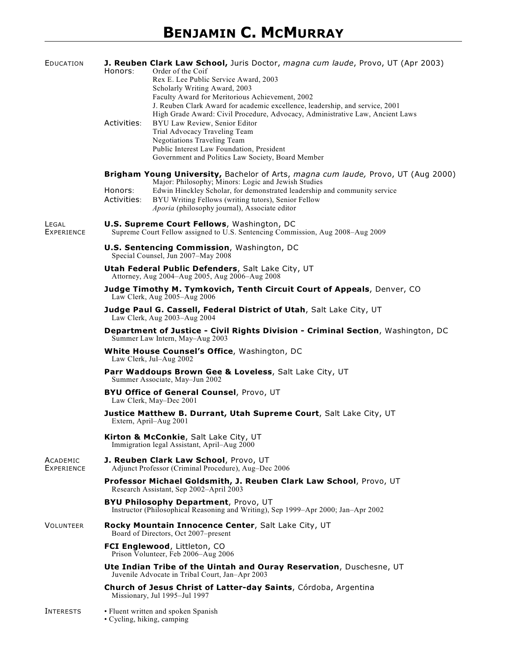| EDUCATION                            | Honors:                                                                                                                              | J. Reuben Clark Law School, Juris Doctor, magna cum laude, Provo, UT (Apr 2003)<br>Order of the Coif<br>Rex E. Lee Public Service Award, 2003<br>Scholarly Writing Award, 2003                                                                                                                                                                                                                                             |
|--------------------------------------|--------------------------------------------------------------------------------------------------------------------------------------|----------------------------------------------------------------------------------------------------------------------------------------------------------------------------------------------------------------------------------------------------------------------------------------------------------------------------------------------------------------------------------------------------------------------------|
|                                      | Activities:                                                                                                                          | Faculty Award for Meritorious Achievement, 2002<br>J. Reuben Clark Award for academic excellence, leadership, and service, 2001<br>High Grade Award: Civil Procedure, Advocacy, Administrative Law, Ancient Laws<br>BYU Law Review, Senior Editor<br>Trial Advocacy Traveling Team<br><b>Negotiations Traveling Team</b><br>Public Interest Law Foundation, President<br>Government and Politics Law Society, Board Member |
|                                      | Honors:                                                                                                                              | Brigham Young University, Bachelor of Arts, magna cum laude, Provo, UT (Aug 2000)<br>Major: Philosophy; Minors: Logic and Jewish Studies<br>Edwin Hinckley Scholar, for demonstrated leadership and community service                                                                                                                                                                                                      |
|                                      | Activities:                                                                                                                          | BYU Writing Fellows (writing tutors), Senior Fellow<br>Aporia (philosophy journal), Associate editor                                                                                                                                                                                                                                                                                                                       |
| LEGAL<br><b>EXPERIENCE</b>           | <b>U.S. Supreme Court Fellows</b> , Washington, DC<br>Supreme Court Fellow assigned to U.S. Sentencing Commission, Aug 2008–Aug 2009 |                                                                                                                                                                                                                                                                                                                                                                                                                            |
|                                      | <b>U.S. Sentencing Commission</b> , Washington, DC<br>Special Counsel, Jun 2007-May 2008                                             |                                                                                                                                                                                                                                                                                                                                                                                                                            |
|                                      | Utah Federal Public Defenders, Salt Lake City, UT<br>Attorney, Aug 2004–Aug 2005, Aug 2006–Aug 2008                                  |                                                                                                                                                                                                                                                                                                                                                                                                                            |
|                                      | Judge Timothy M. Tymkovich, Tenth Circuit Court of Appeals, Denver, CO<br>Law Clerk, Aug 2005-Aug 2006                               |                                                                                                                                                                                                                                                                                                                                                                                                                            |
|                                      | Judge Paul G. Cassell, Federal District of Utah, Salt Lake City, UT<br>Law Clerk, Aug 2003-Aug 2004                                  |                                                                                                                                                                                                                                                                                                                                                                                                                            |
|                                      | Department of Justice - Civil Rights Division - Criminal Section, Washington, DC<br>Summer Law Intern, May-Aug 2003                  |                                                                                                                                                                                                                                                                                                                                                                                                                            |
|                                      | White House Counsel's Office, Washington, DC<br>Law Clerk, Jul-Aug 2002                                                              |                                                                                                                                                                                                                                                                                                                                                                                                                            |
|                                      |                                                                                                                                      | Parr Waddoups Brown Gee & Loveless, Salt Lake City, UT<br>Summer Associate, May-Jun 2002                                                                                                                                                                                                                                                                                                                                   |
|                                      |                                                                                                                                      | <b>BYU Office of General Counsel</b> , Provo, UT<br>Law Clerk, May-Dec 2001                                                                                                                                                                                                                                                                                                                                                |
|                                      |                                                                                                                                      | Justice Matthew B. Durrant, Utah Supreme Court, Salt Lake City, UT<br>Extern, April-Aug 2001                                                                                                                                                                                                                                                                                                                               |
|                                      |                                                                                                                                      | Kirton & McConkie, Salt Lake City, UT<br>Immigration legal Assistant, April–Aug 2000                                                                                                                                                                                                                                                                                                                                       |
| <b>ACADEMIC</b><br><b>EXPERIENCE</b> |                                                                                                                                      | J. Reuben Clark Law School, Provo, UT<br>Adjunct Professor (Criminal Procedure), Aug-Dec 2006                                                                                                                                                                                                                                                                                                                              |
|                                      | Professor Michael Goldsmith, J. Reuben Clark Law School, Provo, UT<br>Research Assistant, Sep 2002-April 2003                        |                                                                                                                                                                                                                                                                                                                                                                                                                            |
|                                      | <b>BYU Philosophy Department, Provo, UT</b><br>Instructor (Philosophical Reasoning and Writing), Sep 1999–Apr 2000; Jan–Apr 2002     |                                                                                                                                                                                                                                                                                                                                                                                                                            |
| <b>VOLUNTEER</b>                     | Rocky Mountain Innocence Center, Salt Lake City, UT<br>Board of Directors, Oct 2007–present                                          |                                                                                                                                                                                                                                                                                                                                                                                                                            |
|                                      | FCI Englewood, Littleton, CO<br>Prison Volunteer, Feb 2006-Aug 2006                                                                  |                                                                                                                                                                                                                                                                                                                                                                                                                            |
|                                      | Ute Indian Tribe of the Uintah and Ouray Reservation, Duschesne, UT<br>Juvenile Advocate in Tribal Court, Jan-Apr 2003               |                                                                                                                                                                                                                                                                                                                                                                                                                            |
|                                      |                                                                                                                                      | Church of Jesus Christ of Latter-day Saints, Córdoba, Argentina<br>Missionary, Jul 1995-Jul 1997                                                                                                                                                                                                                                                                                                                           |
| INTERESTS                            | · Cycling, hiking, camping                                                                                                           | • Fluent written and spoken Spanish                                                                                                                                                                                                                                                                                                                                                                                        |